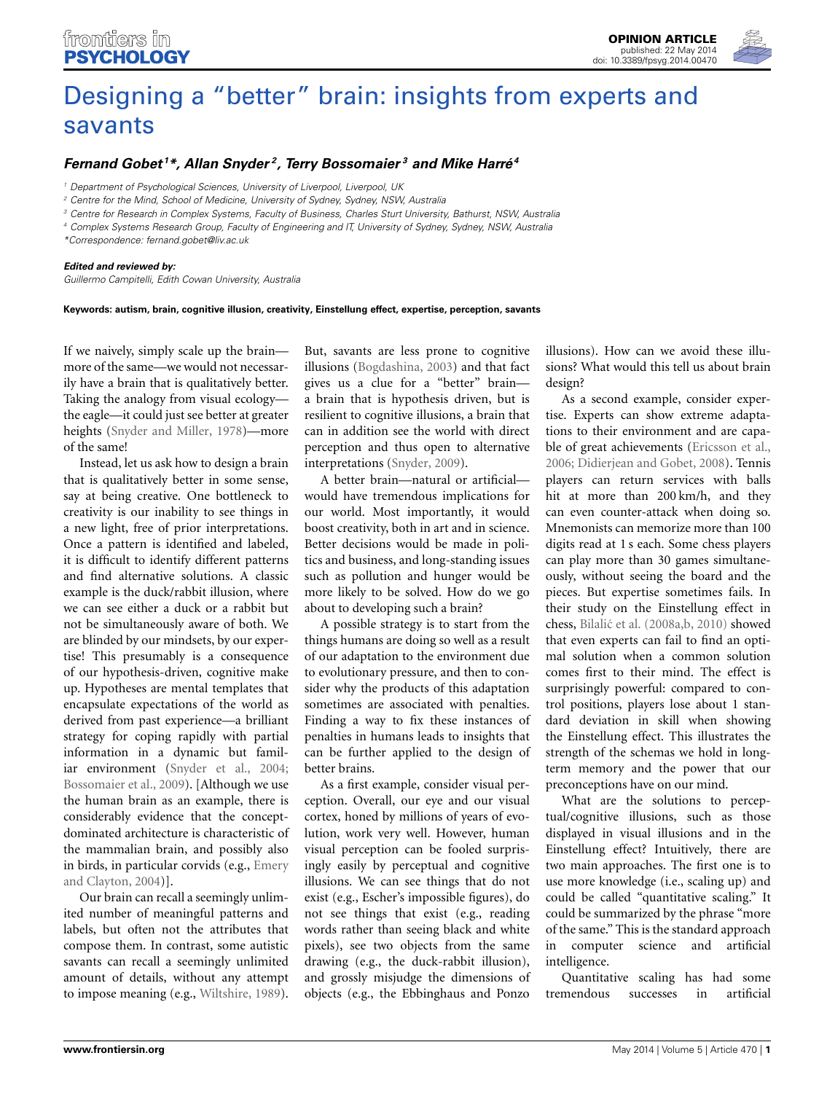# [Designing a "better" brain: insights from experts and](http://www.frontiersin.org/journal/10.3389/fpsyg.2014.00470/full) savants

# *[Fernand Gobet](http://community.frontiersin.org/people/u/32115) <sup>1</sup> \*, Allan Snyder 2, [Terry Bossomaier](http://community.frontiersin.org/people/u/152517) <sup>3</sup> and Mike Harré4*

*<sup>1</sup> Department of Psychological Sciences, University of Liverpool, Liverpool, UK*

*<sup>2</sup> Centre for the Mind, School of Medicine, University of Sydney, Sydney, NSW, Australia*

*<sup>3</sup> Centre for Research in Complex Systems, Faculty of Business, Charles Sturt University, Bathurst, NSW, Australia*

*<sup>4</sup> Complex Systems Research Group, Faculty of Engineering and IT, University of Sydney, Sydney, NSW, Australia*

*\*Correspondence: [fernand.gobet@liv.ac.uk](mailto:fernand.gobet@liv.ac.uk)*

#### *Edited and reviewed by:*

*Guillermo Campitelli, Edith Cowan University, Australia*

**Keywords: autism, brain, cognitive illusion, creativity, Einstellung effect, expertise, perception, savants**

If we naively, simply scale up the brain more of the same—we would not necessarily have a brain that is qualitatively better. Taking the analogy from visual ecology the eagle—it could just see better at greater heights [\(Snyder and Miller](#page-2-0), [1978\)](#page-2-0)—more of the same!

Instead, let us ask how to design a brain that is qualitatively better in some sense, say at being creative. One bottleneck to creativity is our inability to see things in a new light, free of prior interpretations. Once a pattern is identified and labeled, it is difficult to identify different patterns and find alternative solutions. A classic example is the duck/rabbit illusion, where we can see either a duck or a rabbit but not be simultaneously aware of both. We are blinded by our mindsets, by our expertise! This presumably is a consequence of our hypothesis-driven, cognitive make up. Hypotheses are mental templates that encapsulate expectations of the world as derived from past experience—a brilliant strategy for coping rapidly with partial information in a dynamic but familiar environment [\(Snyder et al.](#page-2-1), [2004;](#page-2-1) [Bossomaier et al.](#page-2-2), [2009\)](#page-2-2). [Although we use the human brain as an example, there is considerably evidence that the conceptdominated architecture is characteristic of the mammalian brain, and possibly also in birds, in [particular](#page-2-3) [corvids](#page-2-3) [\(e.g.,](#page-2-3) Emery and Clayton, [2004](#page-2-3))].

Our brain can recall a seemingly unlimited number of meaningful patterns and labels, but often not the attributes that compose them. In contrast, some autistic savants can recall a seemingly unlimited amount of details, without any attempt to impose meaning (e.g., [Wiltshire](#page-2-4), [1989](#page-2-4)).

But, savants are less prone to cognitive illusions [\(Bogdashina, 2003\)](#page-1-0) and that fact gives us a clue for a "better" brain a brain that is hypothesis driven, but is resilient to cognitive illusions, a brain that can in addition see the world with direct perception and thus open to alternative interpretations [\(Snyder](#page-2-5), [2009](#page-2-5)).

A better brain—natural or artificial would have tremendous implications for our world. Most importantly, it would boost creativity, both in art and in science. Better decisions would be made in politics and business, and long-standing issues such as pollution and hunger would be more likely to be solved. How do we go about to developing such a brain?

A possible strategy is to start from the things humans are doing so well as a result of our adaptation to the environment due to evolutionary pressure, and then to consider why the products of this adaptation sometimes are associated with penalties. Finding a way to fix these instances of penalties in humans leads to insights that can be further applied to the design of better brains.

As a first example, consider visual perception. Overall, our eye and our visual cortex, honed by millions of years of evolution, work very well. However, human visual perception can be fooled surprisingly easily by perceptual and cognitive illusions. We can see things that do not exist (e.g., Escher's impossible figures), do not see things that exist (e.g., reading words rather than seeing black and white pixels), see two objects from the same drawing (e.g., the duck-rabbit illusion), and grossly misjudge the dimensions of objects (e.g., the Ebbinghaus and Ponzo illusions). How can we avoid these illusions? What would this tell us about brain design?

As a second example, consider expertise. Experts can show extreme adaptations to their environment and are capable of great achievements [\(Ericsson et al.,](#page-2-6) [2006](#page-2-6); [Didierjean and Gobet](#page-2-7), [2008\)](#page-2-7). Tennis players can return services with balls hit at more than 200 km/h, and they can even counter-attack when doing so. Mnemonists can memorize more than 100 digits read at 1 s each. Some chess players can play more than 30 games simultaneously, without seeing the board and the pieces. But expertise sometimes fails. In their study on the Einstellung effect in chess, Bilalić et al. [\(2008a](#page-1-1)[,b,](#page-1-2) [2010](#page-1-3)) showed that even experts can fail to find an optimal solution when a common solution comes first to their mind. The effect is surprisingly powerful: compared to control positions, players lose about 1 standard deviation in skill when showing the Einstellung effect. This illustrates the strength of the schemas we hold in longterm memory and the power that our preconceptions have on our mind.

What are the solutions to perceptual/cognitive illusions, such as those displayed in visual illusions and in the Einstellung effect? Intuitively, there are two main approaches. The first one is to use more knowledge (i.e., scaling up) and could be called "quantitative scaling." It could be summarized by the phrase "more of the same." This is the standard approach in computer science and artificial intelligence.

Quantitative scaling has had some tremendous successes in artificial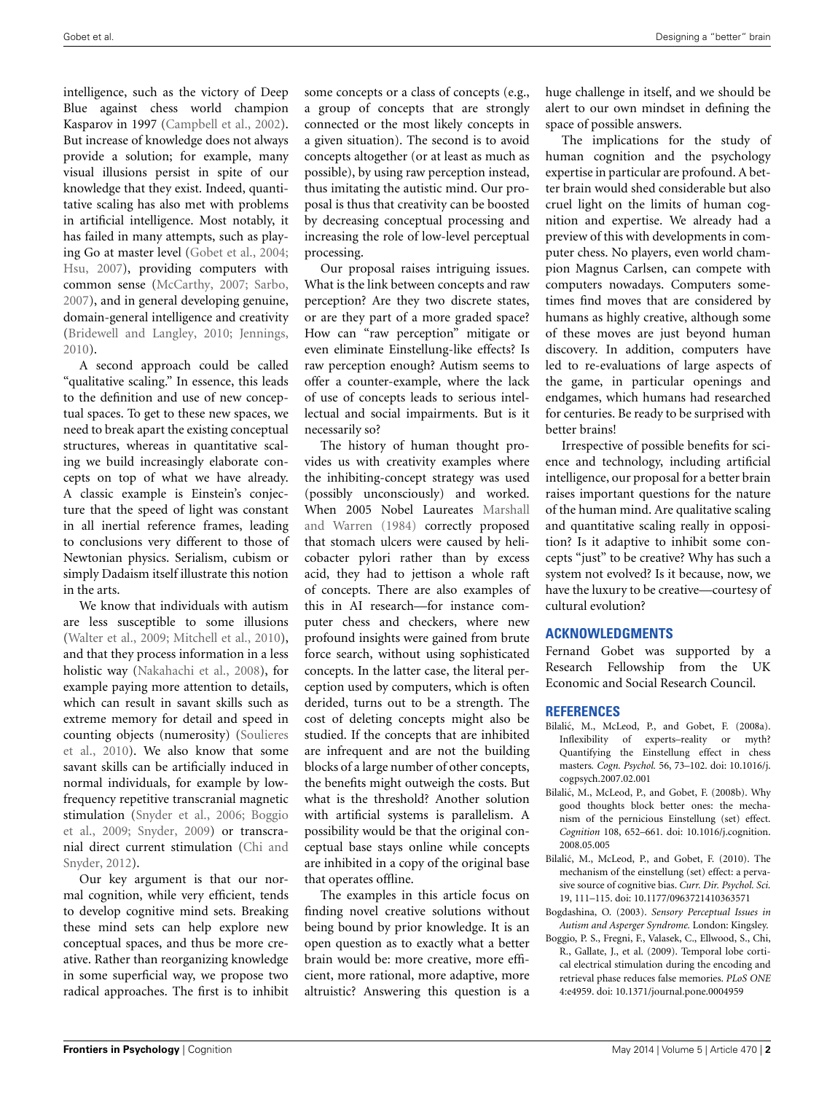intelligence, such as the victory of Deep Blue against chess world champion Kasparov in 1997 [\(Campbell et al., 2002](#page-2-8)). But increase of knowledge does not always provide a solution; for example, many visual illusions persist in spite of our knowledge that they exist. Indeed, quantitative scaling has also met with problems in artificial intelligence. Most notably, it has failed in many attempts, such as playing Go at master level [\(Gobet et al.](#page-2-9), [2004;](#page-2-9) [Hsu, 2007](#page-2-10)), providing computers with common sense [\(McCarthy, 2007;](#page-2-11) [Sarbo,](#page-2-12) [2007](#page-2-12)), and in general developing genuine, domain-general intelligence and creativity [\(Bridewell and Langley](#page-2-13), [2010;](#page-2-13) [Jennings,](#page-2-14) [2010](#page-2-14)).

A second approach could be called "qualitative scaling." In essence, this leads to the definition and use of new conceptual spaces. To get to these new spaces, we need to break apart the existing conceptual structures, whereas in quantitative scaling we build increasingly elaborate concepts on top of what we have already. A classic example is Einstein's conjecture that the speed of light was constant in all inertial reference frames, leading to conclusions very different to those of Newtonian physics. Serialism, cubism or simply Dadaism itself illustrate this notion in the arts.

We know that individuals with autism are less susceptible to some illusions [\(Walter et al.](#page-2-15), [2009](#page-2-15); [Mitchell et al., 2010](#page-2-16)), and that they process information in a less holistic way [\(Nakahachi et al.](#page-2-17), [2008](#page-2-17)), for example paying more attention to details, which can result in savant skills such as extreme memory for detail and speed in coun[ting](#page-2-18) [objects](#page-2-18) [\(numerosity\)](#page-2-18) [\(](#page-2-18)Soulieres et al., [2010\)](#page-2-18). We also know that some savant skills can be artificially induced in normal individuals, for example by lowfrequency repetitive transcranial magnetic stim[ulation](#page-1-4) [\(Snyder et al.](#page-2-19)[,](#page-1-4) [2006](#page-2-19)[;](#page-1-4) Boggio et al., [2009](#page-1-4); [Snyder](#page-2-5), [2009\)](#page-2-5) or transcranial d[irect](#page-2-20) [current](#page-2-20) [stimulation](#page-2-20) [\(](#page-2-20)Chi and Snyder, [2012\)](#page-2-20).

Our key argument is that our normal cognition, while very efficient, tends to develop cognitive mind sets. Breaking these mind sets can help explore new conceptual spaces, and thus be more creative. Rather than reorganizing knowledge in some superficial way, we propose two radical approaches. The first is to inhibit

some concepts or a class of concepts (e.g., a group of concepts that are strongly connected or the most likely concepts in a given situation). The second is to avoid concepts altogether (or at least as much as possible), by using raw perception instead, thus imitating the autistic mind. Our proposal is thus that creativity can be boosted by decreasing conceptual processing and increasing the role of low-level perceptual processing.

Our proposal raises intriguing issues. What is the link between concepts and raw perception? Are they two discrete states, or are they part of a more graded space? How can "raw perception" mitigate or even eliminate Einstellung-like effects? Is raw perception enough? Autism seems to offer a counter-example, where the lack of use of concepts leads to serious intellectual and social impairments. But is it necessarily so?

The history of human thought provides us with creativity examples where the inhibiting-concept strategy was used (possibly unconsciously) and worked. When 2005 [Nobel Laureates](#page-2-21) Marshall and Warren [\(1984\)](#page-2-21) correctly proposed that stomach ulcers were caused by helicobacter pylori rather than by excess acid, they had to jettison a whole raft of concepts. There are also examples of this in AI research—for instance computer chess and checkers, where new profound insights were gained from brute force search, without using sophisticated concepts. In the latter case, the literal perception used by computers, which is often derided, turns out to be a strength. The cost of deleting concepts might also be studied. If the concepts that are inhibited are infrequent and are not the building blocks of a large number of other concepts, the benefits might outweigh the costs. But what is the threshold? Another solution with artificial systems is parallelism. A possibility would be that the original conceptual base stays online while concepts are inhibited in a copy of the original base that operates offline.

The examples in this article focus on finding novel creative solutions without being bound by prior knowledge. It is an open question as to exactly what a better brain would be: more creative, more efficient, more rational, more adaptive, more altruistic? Answering this question is a huge challenge in itself, and we should be alert to our own mindset in defining the space of possible answers.

The implications for the study of human cognition and the psychology expertise in particular are profound. A better brain would shed considerable but also cruel light on the limits of human cognition and expertise. We already had a preview of this with developments in computer chess. No players, even world champion Magnus Carlsen, can compete with computers nowadays. Computers sometimes find moves that are considered by humans as highly creative, although some of these moves are just beyond human discovery. In addition, computers have led to re-evaluations of large aspects of the game, in particular openings and endgames, which humans had researched for centuries. Be ready to be surprised with better brains!

Irrespective of possible benefits for science and technology, including artificial intelligence, our proposal for a better brain raises important questions for the nature of the human mind. Are qualitative scaling and quantitative scaling really in opposition? Is it adaptive to inhibit some concepts "just" to be creative? Why has such a system not evolved? Is it because, now, we have the luxury to be creative—courtesy of cultural evolution?

## **ACKNOWLEDGMENTS**

Fernand Gobet was supported by a Research Fellowship from the UK Economic and Social Research Council.

### **REFERENCES**

- <span id="page-1-1"></span>Bilalić, M., McLeod, P., and Gobet, F. (2008a). Inflexibility of experts–reality or myth? Quantifying the Einstellung effect in chess masters*. Cogn. Psychol.* 56, 73–102. doi: 10.1016/j. cogpsych.2007.02.001
- <span id="page-1-2"></span>Bilalić, M., McLeod, P., and Gobet, F. (2008b). Why good thoughts block better ones: the mechanism of the pernicious Einstellung (set) effect. *Cognition* 108, 652–661. doi: 10.1016/j.cognition. 2008.05.005
- <span id="page-1-3"></span>Bilalić, M., McLeod, P., and Gobet, F. (2010). The mechanism of the einstellung (set) effect: a pervasive source of cognitive bias. *Curr. Dir. Psychol. Sci.* 19, 111–115. doi: 10.1177/0963721410363571
- <span id="page-1-0"></span>Bogdashina, O. (2003). *Sensory Perceptual Issues in Autism and Asperger Syndrome.* London: Kingsley.
- <span id="page-1-4"></span>Boggio, P. S., Fregni, F., Valasek, C., Ellwood, S., Chi, R., Gallate, J., et al. (2009). Temporal lobe cortical electrical stimulation during the encoding and retrieval phase reduces false memories. *PLoS ONE* 4:e4959. doi: 10.1371/journal.pone.0004959